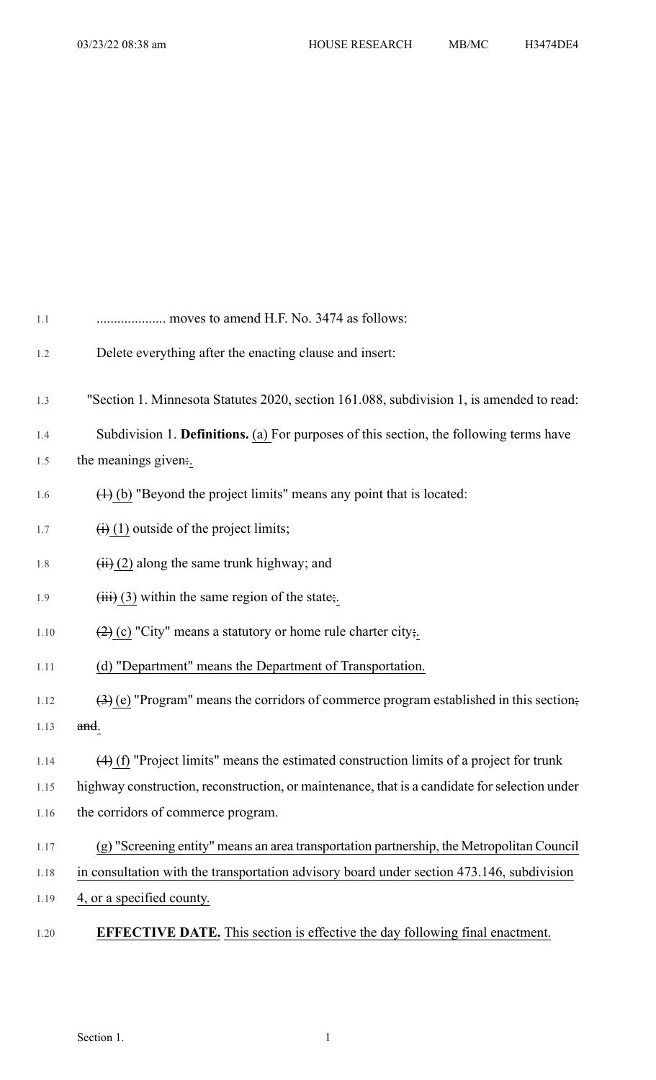| 1.1  | moves to amend H.F. No. 3474 as follows:                                                                      |
|------|---------------------------------------------------------------------------------------------------------------|
| 1.2  | Delete everything after the enacting clause and insert:                                                       |
| 1.3  | "Section 1. Minnesota Statutes 2020, section 161.088, subdivision 1, is amended to read:                      |
| 1.4  | Subdivision 1. Definitions. (a) For purposes of this section, the following terms have                        |
| 1.5  | the meanings given:.                                                                                          |
| 1.6  | $(4)$ (b) "Beyond the project limits" means any point that is located:                                        |
| 1.7  | $\overline{(+)}$ (1) outside of the project limits;                                                           |
| 1.8  | $\overline{H}(i)$ (2) along the same trunk highway; and                                                       |
| 1.9  | $\overline{(\mathbf{iii})}$ (3) within the same region of the state;                                          |
| 1.10 | $\left(\frac{2}{2}\right)$ (c) "City" means a statutory or home rule charter city;                            |
| 1.11 | (d) "Department" means the Department of Transportation.                                                      |
| 1.12 | $\left(\frac{3}{2}\right)$ (e) "Program" means the corridors of commerce program established in this section; |
| 1.13 | and.                                                                                                          |
| 1.14 | $(4)$ (f) "Project limits" means the estimated construction limits of a project for trunk                     |
| 1.15 | highway construction, reconstruction, or maintenance, that is a candidate for selection under                 |
| 1.16 | the corridors of commerce program.                                                                            |
| 1.17 | (g) "Screening entity" means an area transportation partnership, the Metropolitan Council                     |
| 1.18 | in consultation with the transportation advisory board under section 473.146, subdivision                     |
| 1.19 | 4, or a specified county.                                                                                     |
| 1.20 | <b>EFFECTIVE DATE.</b> This section is effective the day following final enactment.                           |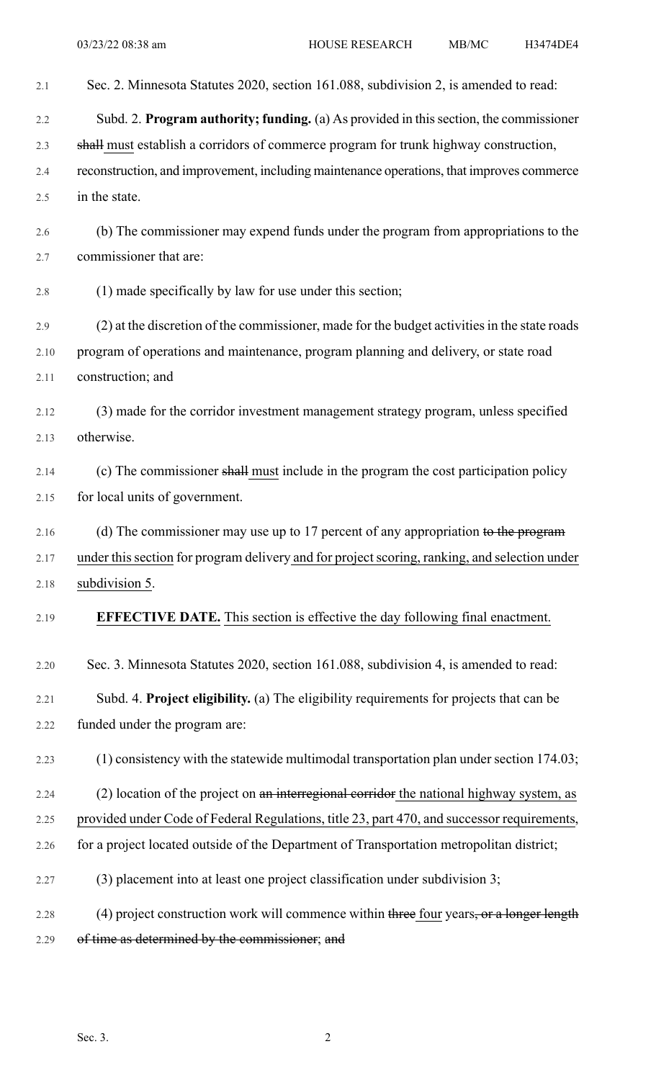| 2.1  | Sec. 2. Minnesota Statutes 2020, section 161.088, subdivision 2, is amended to read:          |
|------|-----------------------------------------------------------------------------------------------|
| 2.2  | Subd. 2. Program authority; funding. (a) As provided in this section, the commissioner        |
| 2.3  | shall must establish a corridors of commerce program for trunk highway construction,          |
| 2.4  | reconstruction, and improvement, including maintenance operations, that improves commerce     |
| 2.5  | in the state.                                                                                 |
| 2.6  | (b) The commissioner may expend funds under the program from appropriations to the            |
| 2.7  | commissioner that are:                                                                        |
| 2.8  | (1) made specifically by law for use under this section;                                      |
| 2.9  | (2) at the discretion of the commissioner, made for the budget activities in the state roads  |
| 2.10 | program of operations and maintenance, program planning and delivery, or state road           |
| 2.11 | construction; and                                                                             |
| 2.12 | (3) made for the corridor investment management strategy program, unless specified            |
| 2.13 | otherwise.                                                                                    |
| 2.14 | (c) The commissioner shall must include in the program the cost participation policy          |
| 2.15 | for local units of government.                                                                |
| 2.16 | (d) The commissioner may use up to 17 percent of any appropriation to the program             |
| 2.17 | under this section for program delivery and for project scoring, ranking, and selection under |
| 2.18 | subdivision 5.                                                                                |
| 2.19 | <b>EFFECTIVE DATE.</b> This section is effective the day following final enactment.           |
| 2.20 | Sec. 3. Minnesota Statutes 2020, section 161.088, subdivision 4, is amended to read:          |
| 2.21 | Subd. 4. Project eligibility. (a) The eligibility requirements for projects that can be       |
| 2.22 | funded under the program are:                                                                 |
| 2.23 | $(1)$ consistency with the statewide multimodal transportation plan under section 174.03;     |
| 2.24 | $(2)$ location of the project on an interregional corridor the national highway system, as    |
| 2.25 | provided under Code of Federal Regulations, title 23, part 470, and successor requirements,   |
| 2.26 | for a project located outside of the Department of Transportation metropolitan district;      |
| 2.27 | (3) placement into at least one project classification under subdivision 3;                   |
| 2.28 | (4) project construction work will commence within three four years, or a longer length       |
| 2.29 | of time as determined by the commissioner; and                                                |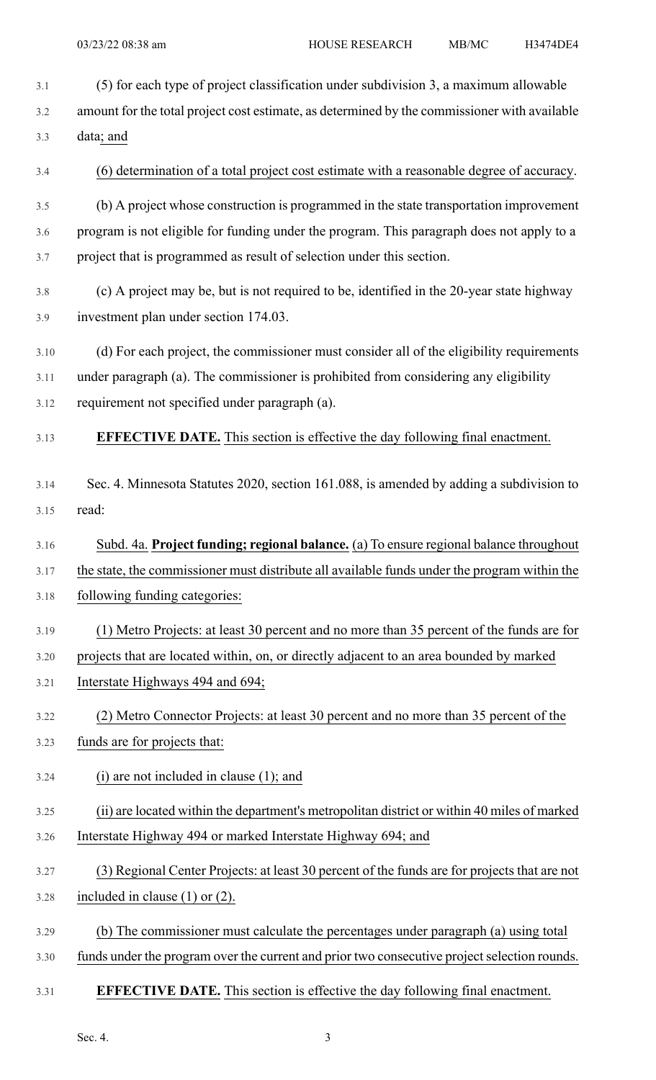3.1 (5) for each type of project classification under subdivision 3, a maximum allowable 3.2 amount for the total project cost estimate, as determined by the commissioner with available 3.3 data; and 3.4 (6) determination of a total project cost estimate with a reasonable degree of accuracy. 3.5 (b) A project whose construction is programmed in the state transportation improvement 3.6 program is not eligible for funding under the program. This paragraph does not apply to a 3.7 project that is programmed as result of selection under this section. 3.8 (c) A project may be, but is not required to be, identified in the 20-year state highway 3.9 investment plan under section 174.03. 3.10 (d) For each project, the commissioner must consider all of the eligibility requirements 3.11 under paragraph (a). The commissioner is prohibited from considering any eligibility 3.12 requirement not specified under paragraph (a). 3.13 **EFFECTIVE DATE.** This section is effective the day following final enactment. 3.14 Sec. 4. Minnesota Statutes 2020, section 161.088, is amended by adding a subdivision to 3.15 read: 3.16 Subd. 4a. **Project funding; regional balance.** (a) To ensure regional balance throughout 3.17 the state, the commissioner must distribute all available funds under the program within the 3.18 following funding categories: 3.19 (1) Metro Projects: at least 30 percent and no more than 35 percent of the funds are for 3.20 projects that are located within, on, or directly adjacent to an area bounded by marked 3.21 Interstate Highways 494 and 694; 3.22 (2) Metro Connector Projects: at least 30 percent and no more than 35 percent of the 3.23 funds are for projects that: 3.24 (i) are not included in clause (1); and 3.25 (ii) are located within the department's metropolitan district or within 40 miles of marked 3.26 Interstate Highway 494 or marked Interstate Highway 694; and 3.27 (3) Regional Center Projects: at least 30 percent of the funds are for projects that are not 3.28 included in clause (1) or (2). 3.29 (b) The commissioner must calculate the percentages under paragraph (a) using total 3.30 funds under the program over the current and prior two consecutive project selection rounds. 3.31 **EFFECTIVE DATE.** This section is effective the day following final enactment.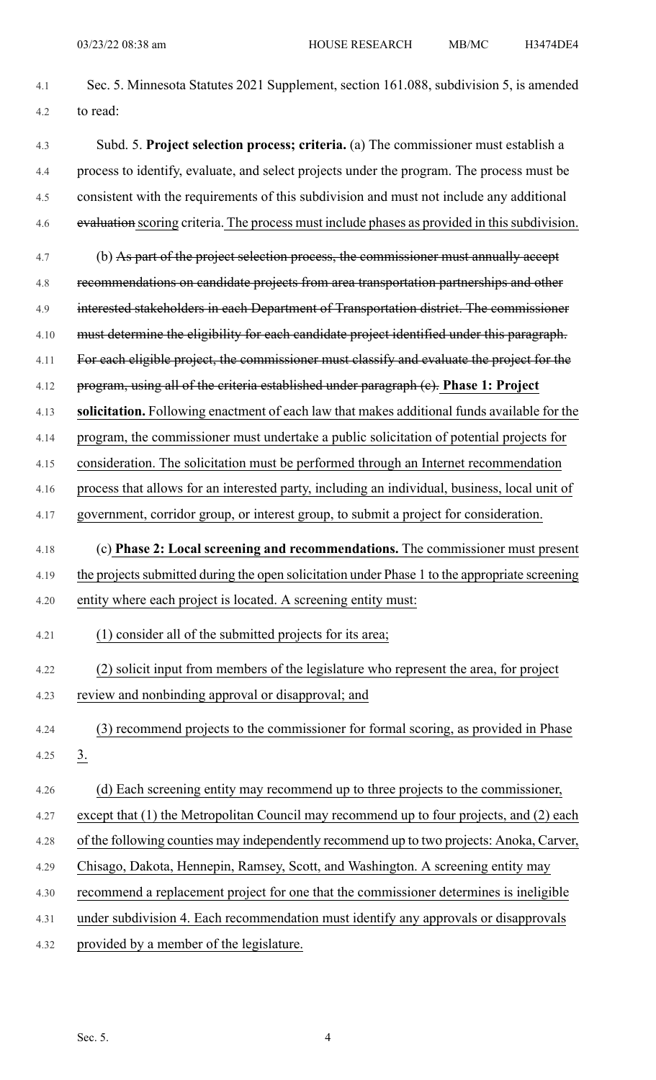- 4.1 Sec. 5. Minnesota Statutes 2021 Supplement, section 161.088, subdivision 5, is amended 4.2 to read:
- 4.3 Subd. 5. **Project selection process; criteria.** (a) The commissioner must establish a 4.4 process to identify, evaluate, and select projects under the program. The process must be 4.5 consistent with the requirements of this subdivision and must not include any additional 4.6 evaluation scoring criteria. The process must include phases as provided in this subdivision.
- 4.7 (b) As part of the project selection process, the commissioner must annually accept 4.8 recommendations on candidate projects from area transportation partnerships and other 4.9 interested stakeholders in each Department of Transportation district. The commissioner 4.10 must determine the eligibility for each candidate project identified under this paragraph. 4.11 For each eligible project, the commissioner must classify and evaluate the project for the 4.12 program, using all of the criteria established under paragraph (c). **Phase 1: Project**
- 4.13 **solicitation.** Following enactment of each law that makes additional funds available for the
- 4.14 program, the commissioner must undertake a public solicitation of potential projects for
- 4.15 consideration. The solicitation must be performed through an Internet recommendation
- 4.16 process that allows for an interested party, including an individual, business, local unit of 4.17 government, corridor group, or interest group, to submit a project for consideration.
- 4.18 (c) **Phase 2: Local screening and recommendations.** The commissioner must present
- 4.19 the projects submitted during the open solicitation under Phase 1 to the appropriate screening 4.20 entity where each project is located. A screening entity must:
- 4.21 (1) consider all of the submitted projects for its area;
- 4.22 (2) solicit input from members of the legislature who represent the area, for project 4.23 review and nonbinding approval or disapproval; and
- 4.24 (3) recommend projects to the commissioner for formal scoring, as provided in Phase 4.25  $3.$
- 4.26 (d) Each screening entity may recommend up to three projects to the commissioner,
- 4.27 except that (1) the Metropolitan Council may recommend up to four projects, and (2) each
- 4.28 of the following counties may independently recommend up to two projects: Anoka, Carver,
- 4.29 Chisago, Dakota, Hennepin, Ramsey, Scott, and Washington. A screening entity may
- 4.30 recommend a replacement project for one that the commissioner determines is ineligible
- 4.31 under subdivision 4. Each recommendation must identify any approvals or disapprovals
- 4.32 provided by a member of the legislature.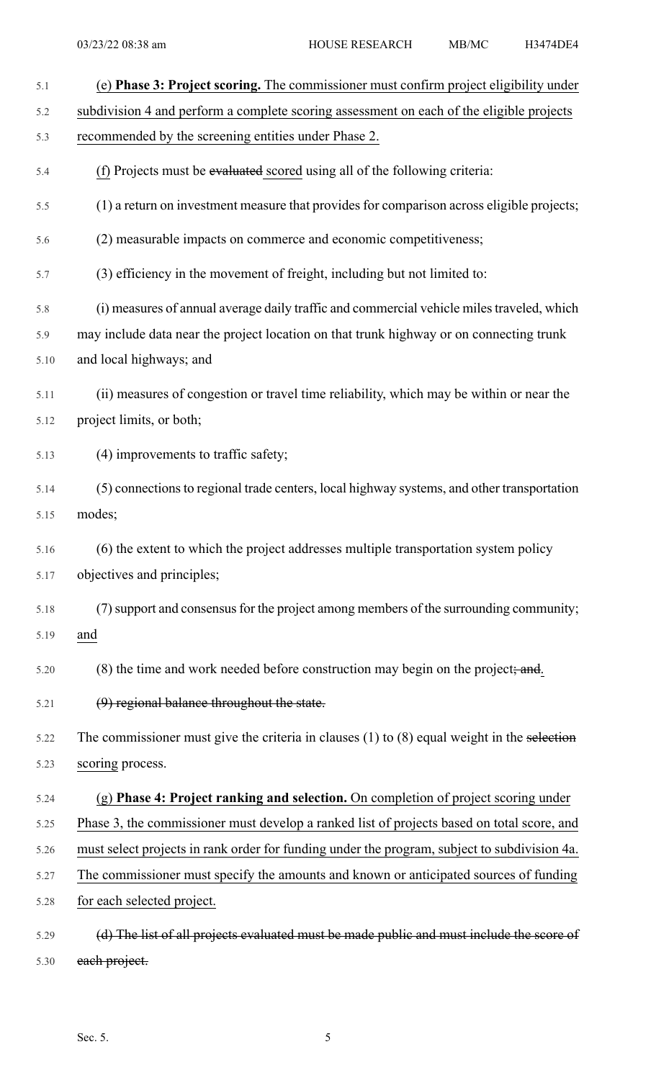| 5.1  | (e) Phase 3: Project scoring. The commissioner must confirm project eligibility under           |
|------|-------------------------------------------------------------------------------------------------|
| 5.2  | subdivision 4 and perform a complete scoring assessment on each of the eligible projects        |
| 5.3  | recommended by the screening entities under Phase 2.                                            |
| 5.4  | (f) Projects must be evaluated scored using all of the following criteria:                      |
| 5.5  | (1) a return on investment measure that provides for comparison across eligible projects;       |
| 5.6  | (2) measurable impacts on commerce and economic competitiveness;                                |
| 5.7  | (3) efficiency in the movement of freight, including but not limited to:                        |
| 5.8  | (i) measures of annual average daily traffic and commercial vehicle miles traveled, which       |
| 5.9  | may include data near the project location on that trunk highway or on connecting trunk         |
| 5.10 | and local highways; and                                                                         |
| 5.11 | (ii) measures of congestion or travel time reliability, which may be within or near the         |
| 5.12 | project limits, or both;                                                                        |
| 5.13 | (4) improvements to traffic safety;                                                             |
| 5.14 | (5) connections to regional trade centers, local highway systems, and other transportation      |
| 5.15 | modes;                                                                                          |
| 5.16 | (6) the extent to which the project addresses multiple transportation system policy             |
| 5.17 | objectives and principles;                                                                      |
| 5.18 | (7) support and consensus for the project among members of the surrounding community;           |
| 5.19 | and                                                                                             |
| 5.20 | (8) the time and work needed before construction may begin on the project; and.                 |
| 5.21 | (9) regional balance throughout the state.                                                      |
| 5.22 | The commissioner must give the criteria in clauses $(1)$ to $(8)$ equal weight in the selection |
| 5.23 | scoring process.                                                                                |
| 5.24 | (g) Phase 4: Project ranking and selection. On completion of project scoring under              |
| 5.25 | Phase 3, the commissioner must develop a ranked list of projects based on total score, and      |
| 5.26 | must select projects in rank order for funding under the program, subject to subdivision 4a.    |
| 5.27 | The commissioner must specify the amounts and known or anticipated sources of funding           |
| 5.28 | for each selected project.                                                                      |
| 5.29 | (d) The list of all projects evaluated must be made public and must include the score of        |

5.30 each project.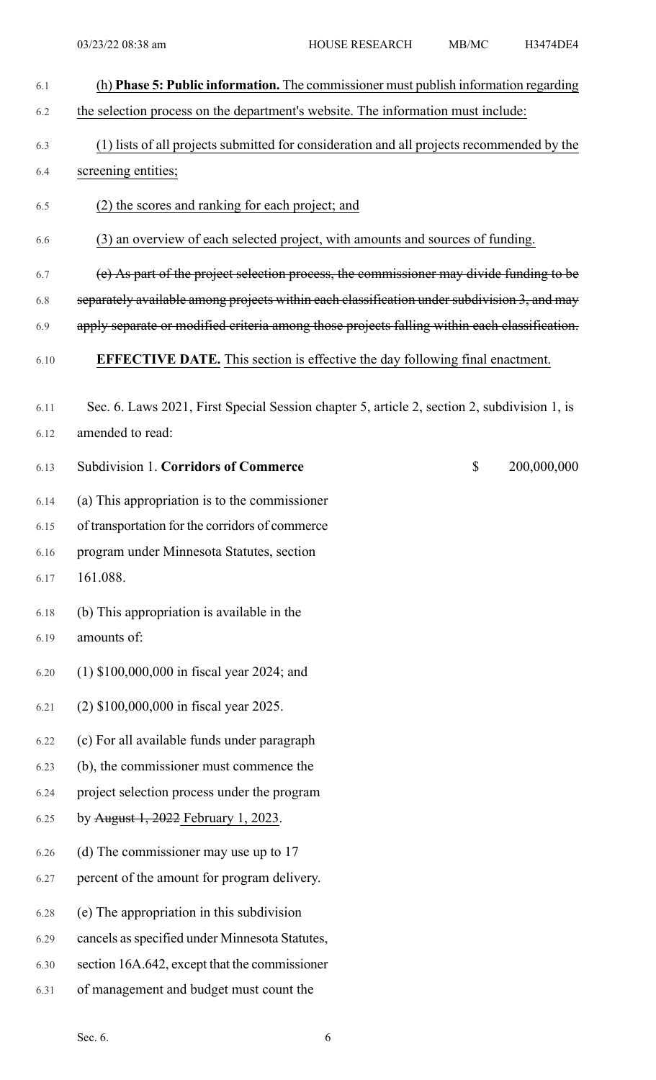| 6.1  | (h) Phase 5: Public information. The commissioner must publish information regarding         |
|------|----------------------------------------------------------------------------------------------|
| 6.2  | the selection process on the department's website. The information must include:             |
| 6.3  | (1) lists of all projects submitted for consideration and all projects recommended by the    |
| 6.4  | screening entities;                                                                          |
| 6.5  | (2) the scores and ranking for each project; and                                             |
| 6.6  | (3) an overview of each selected project, with amounts and sources of funding.               |
| 6.7  | (e) As part of the project selection process, the commissioner may divide funding to be      |
| 6.8  | separately available among projects within each classification under subdivision 3, and may  |
| 6.9  | apply separate or modified criteria among those projects falling within each classification. |
| 6.10 | <b>EFFECTIVE DATE.</b> This section is effective the day following final enactment.          |
| 6.11 | Sec. 6. Laws 2021, First Special Session chapter 5, article 2, section 2, subdivision 1, is  |
| 6.12 | amended to read:                                                                             |
| 6.13 | $\mathcal{S}$<br>200,000,000<br><b>Subdivision 1. Corridors of Commerce</b>                  |
| 6.14 | (a) This appropriation is to the commissioner                                                |
| 6.15 | of transportation for the corridors of commerce                                              |
| 6.16 | program under Minnesota Statutes, section                                                    |
| 6.17 | 161.088.                                                                                     |
| 6.18 | (b) This appropriation is available in the                                                   |
| 6.19 | amounts of:                                                                                  |
| 6.20 | $(1)$ \$100,000,000 in fiscal year 2024; and                                                 |
| 6.21 | (2) \$100,000,000 in fiscal year 2025.                                                       |
| 6.22 | (c) For all available funds under paragraph                                                  |
| 6.23 | (b), the commissioner must commence the                                                      |
| 6.24 | project selection process under the program                                                  |
| 6.25 | by August 1, 2022 February 1, 2023.                                                          |
| 6.26 | (d) The commissioner may use up to 17                                                        |
| 6.27 | percent of the amount for program delivery.                                                  |
| 6.28 | (e) The appropriation in this subdivision                                                    |
| 6.29 | cancels as specified under Minnesota Statutes,                                               |
| 6.30 | section 16A.642, except that the commissioner                                                |
| 6.31 | of management and budget must count the                                                      |